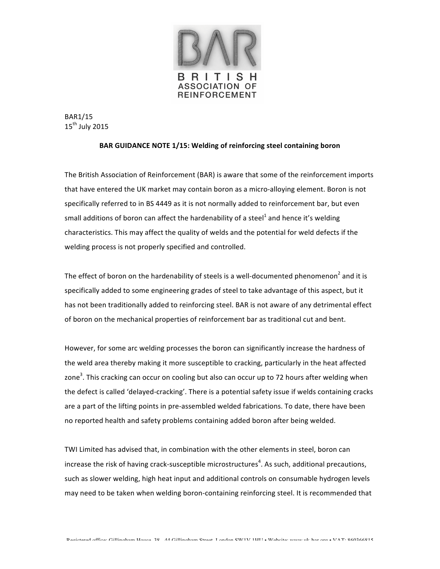

BAR1/15  $15^{th}$  July 2015

## BAR GUIDANCE NOTE 1/15: Welding of reinforcing steel containing boron

The British Association of Reinforcement (BAR) is aware that some of the reinforcement imports that have entered the UK market may contain boron as a micro-alloying element. Boron is not specifically referred to in BS 4449 as it is not normally added to reinforcement bar, but even small additions of boron can affect the hardenability of a steel<sup>1</sup> and hence it's welding characteristics. This may affect the quality of welds and the potential for weld defects if the welding process is not properly specified and controlled.

The effect of boron on the hardenability of steels is a well-documented phenomenon<sup>2</sup> and it is specifically added to some engineering grades of steel to take advantage of this aspect, but it has not been traditionally added to reinforcing steel. BAR is not aware of any detrimental effect of boron on the mechanical properties of reinforcement bar as traditional cut and bent.

However, for some arc welding processes the boron can significantly increase the hardness of the weld area thereby making it more susceptible to cracking, particularly in the heat affected zone<sup>3</sup>. This cracking can occur on cooling but also can occur up to 72 hours after welding when the defect is called 'delayed-cracking'. There is a potential safety issue if welds containing cracks are a part of the lifting points in pre-assembled welded fabrications. To date, there have been no reported health and safety problems containing added boron after being welded.

TWI Limited has advised that, in combination with the other elements in steel, boron can increase the risk of having crack-susceptible microstructures<sup>4</sup>. As such, additional precautions, such as slower welding, high heat input and additional controls on consumable hydrogen levels may need to be taken when welding boron-containing reinforcing steel. It is recommended that